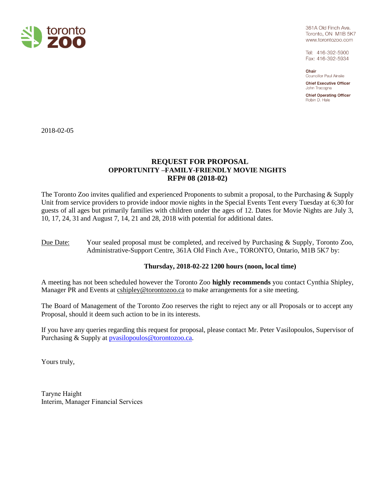

361A Old Finch Ave. Toronto, ON M1B 5K7 www.torontozoo.com

Tel: 416-392-5900 Fax: 416-392-5934

Chair Councillor Paul Ainslie **Chief Executive Officer** John Tracogna

**Chief Operating Officer** Robin D. Hale

2018-02-05

# **REQUEST FOR PROPOSAL OPPORTUNITY –FAMILY-FRIENDLY MOVIE NIGHTS RFP# 08 (2018-02)**

The Toronto Zoo invites qualified and experienced Proponents to submit a proposal, to the Purchasing & Supply Unit from service providers to provide indoor movie nights in the Special Events Tent every Tuesday at 6;30 for guests of all ages but primarily families with children under the ages of 12. Dates for Movie Nights are July 3, 10, 17, 24, 31 and August 7, 14, 21 and 28, 2018 with potential for additional dates.

## Due Date: Your sealed proposal must be completed, and received by Purchasing & Supply, Toronto Zoo, Administrative-Support Centre, 361A Old Finch Ave., TORONTO, Ontario, M1B 5K7 by:

## **Thursday, 2018-02-22 1200 hours (noon, local time)**

A meeting has not been scheduled however the Toronto Zoo **highly recommends** you contact Cynthia Shipley, Manager PR and Events at  $\frac{c \text{shipley } @ \text{torontozo.} @ \text{to make arrangements for a site meeting.}$ 

The Board of Management of the Toronto Zoo reserves the right to reject any or all Proposals or to accept any Proposal, should it deem such action to be in its interests.

If you have any queries regarding this request for proposal, please contact Mr. Peter Vasilopoulos, Supervisor of Purchasing & Supply at **pvasilopoulos@torontozoo.ca.** 

Yours truly,

Taryne Haight Interim, Manager Financial Services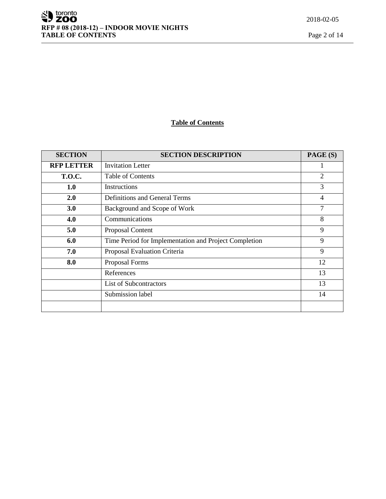# **Table of Contents**

| <b>SECTION</b>    | <b>SECTION DESCRIPTION</b>                            | PAGE (S)       |
|-------------------|-------------------------------------------------------|----------------|
| <b>RFP LETTER</b> | <b>Invitation Letter</b>                              |                |
| <b>T.O.C.</b>     | <b>Table of Contents</b>                              | $\overline{2}$ |
| 1.0               | Instructions                                          | 3              |
| 2.0               | <b>Definitions and General Terms</b>                  | $\overline{4}$ |
| 3.0               | Background and Scope of Work                          | 7              |
| 4.0               | Communications                                        | 8              |
| 5.0               | Proposal Content                                      | 9              |
| 6.0               | Time Period for Implementation and Project Completion | 9              |
| 7.0               | Proposal Evaluation Criteria                          | 9              |
| 8.0               | Proposal Forms                                        | 12             |
|                   | References                                            | 13             |
|                   | <b>List of Subcontractors</b>                         | 13             |
|                   | Submission label                                      | 14             |
|                   |                                                       |                |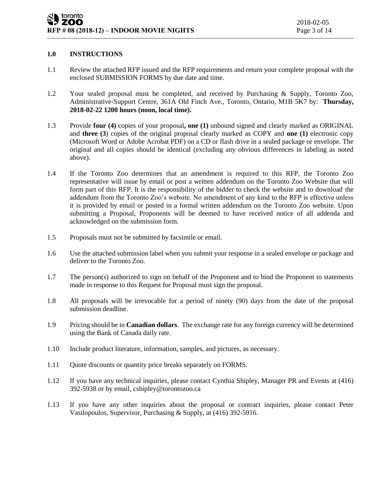### **1.0 INSTRUCTIONS**

- 1.1 Review the attached RFP issued and the RFP requirements and return your complete proposal with the enclosed SUBMISSION FORMS by due date and time.
- 1.2 Your sealed proposal must be completed, and received by Purchasing & Supply, Toronto Zoo, Administrative-Support Centre, 361A Old Finch Ave., Toronto, Ontario, M1B 5K7 by: **Thursday, 2018-02-22 1200 hours (noon, local time).**
- 1.3 Provide **four (4)** copies of your proposal**, one (1)** unbound signed and clearly marked as ORIGINAL and **three (3**) copies of the original proposal clearly marked as COPY and **one (1)** electronic copy (Microsoft Word or Adobe Acrobat PDF) on a CD or flash drive in a sealed package or envelope. The original and all copies should be identical (excluding any obvious differences in labeling as noted above).
- 1.4 If the Toronto Zoo determines that an amendment is required to this RFP, the Toronto Zoo representative will issue by email or post a written addendum on the Toronto Zoo Website that will form part of this RFP. It is the responsibility of the bidder to check the website and to download the addendum from the Toronto Zoo's website. No amendment of any kind to the RFP is effective unless it is provided by email or posted in a formal written addendum on the Toronto Zoo website. Upon submitting a Proposal, Proponents will be deemed to have received notice of all addenda and acknowledged on the submission form.
- 1.5 Proposals must not be submitted by facsimile or email.
- 1.6 Use the attached submission label when you submit your response in a sealed envelope or package and deliver to the Toronto Zoo.
- 1.7 The person(s) authorized to sign on behalf of the Proponent and to bind the Proponent to statements made in response to this Request for Proposal must sign the proposal.
- 1.8 All proposals will be irrevocable for a period of ninety (90) days from the date of the proposal submission deadline.
- 1.9 Pricing should be in **Canadian dollars**. The exchange rate for any foreign currency will be determined using the Bank of Canada daily rate.
- 1.10 Include product literature, information, samples, and pictures, as necessary.
- 1.11 Quote discounts or quantity price breaks separately on FORMS.
- 1.12 If you have any technical inquiries, please contact Cynthia Shipley, Manager PR and Events at (416) 392-5938 or by email, cshipley@torontozoo.ca
- 1.13 If you have any other inquiries about the proposal or contract inquiries, please contact Peter Vasilopoulos, Supervisor, Purchasing & Supply, at (416) 392-5916.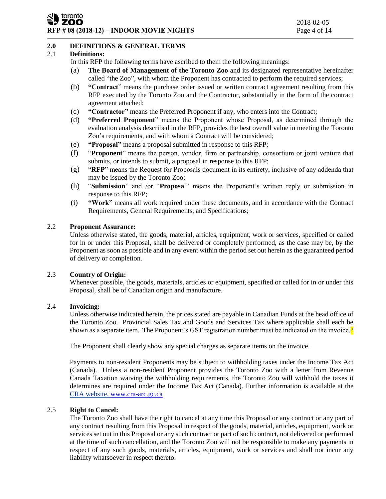#### toronto ZOO **RFP # 08 (2018-12) – INDOOR MOVIE NIGHTS** Page 4 of 14

## **2.0 DEFINITIONS & GENERAL TERMS**

#### 2.1 **Definitions:**

In this RFP the following terms have ascribed to them the following meanings:

- (a) **The Board of Management of the Toronto Zoo** and its designated representative hereinafter called "the Zoo", with whom the Proponent has contracted to perform the required services;
- (b) **"Contract**" means the purchase order issued or written contract agreement resulting from this RFP executed by the Toronto Zoo and the Contractor, substantially in the form of the contract agreement attached;
- (c) **"Contractor"** means the Preferred Proponent if any, who enters into the Contract;
- (d) **"Preferred Proponent**" means the Proponent whose Proposal, as determined through the evaluation analysis described in the RFP, provides the best overall value in meeting the Toronto Zoo's requirements, and with whom a Contract will be considered;
- (e) **"Proposal"** means a proposal submitted in response to this RFP;
- (f) "**Proponent**" means the person, vendor, firm or partnership, consortium or joint venture that submits, or intends to submit, a proposal in response to this RFP;
- (g) "**RFP**" means the Request for Proposals document in its entirety, inclusive of any addenda that may be issued by the Toronto Zoo;
- (h) "**Submission**" and /or "**Proposa**l" means the Proponent's written reply or submission in response to this RFP;
- (i) **"Work"** means all work required under these documents, and in accordance with the Contract Requirements, General Requirements, and Specifications;

#### 2.2 **Proponent Assurance:**

Unless otherwise stated, the goods, material, articles, equipment, work or services, specified or called for in or under this Proposal, shall be delivered or completely performed, as the case may be, by the Proponent as soon as possible and in any event within the period set out herein as the guaranteed period of delivery or completion.

#### 2.3 **Country of Origin:**

Whenever possible, the goods, materials, articles or equipment, specified or called for in or under this Proposal, shall be of Canadian origin and manufacture.

#### 2.4 **Invoicing:**

Unless otherwise indicated herein, the prices stated are payable in Canadian Funds at the head office of the Toronto Zoo. Provincial Sales Tax and Goods and Services Tax where applicable shall each be shown as a separate item. The Proponent's GST registration number must be indicated on the invoice.

The Proponent shall clearly show any special charges as separate items on the invoice.

Payments to non-resident Proponents may be subject to withholding taxes under the Income Tax Act (Canada). Unless a non-resident Proponent provides the Toronto Zoo with a letter from Revenue Canada Taxation waiving the withholding requirements, the Toronto Zoo will withhold the taxes it determines are required under the Income Tax Act (Canada). Further information is available at the CRA website, [www.cra-arc.gc.ca](http://www.cra-arc.gc.ca/)

## 2.5 **Right to Cancel:**

The Toronto Zoo shall have the right to cancel at any time this Proposal or any contract or any part of any contract resulting from this Proposal in respect of the goods, material, articles, equipment, work or services set out in this Proposal or any such contract or part of such contract, not delivered or performed at the time of such cancellation, and the Toronto Zoo will not be responsible to make any payments in respect of any such goods, materials, articles, equipment, work or services and shall not incur any liability whatsoever in respect thereto.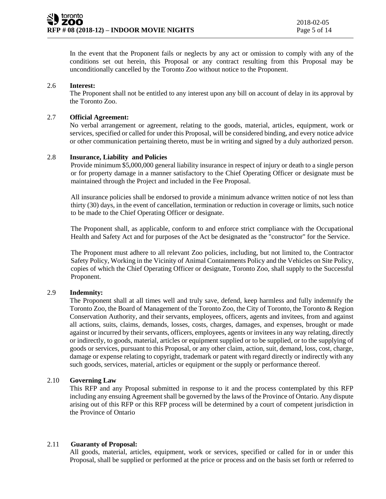In the event that the Proponent fails or neglects by any act or omission to comply with any of the conditions set out herein, this Proposal or any contract resulting from this Proposal may be unconditionally cancelled by the Toronto Zoo without notice to the Proponent.

#### 2.6 **Interest:**

The Proponent shall not be entitled to any interest upon any bill on account of delay in its approval by the Toronto Zoo.

#### 2.7 **Official Agreement:**

No verbal arrangement or agreement, relating to the goods, material, articles, equipment, work or services, specified or called for under this Proposal, will be considered binding, and every notice advice or other communication pertaining thereto, must be in writing and signed by a duly authorized person.

#### 2.8 **Insurance, Liability and Policies**

Provide minimum \$5,000,000 general liability insurance in respect of injury or death to a single person or for property damage in a manner satisfactory to the Chief Operating Officer or designate must be maintained through the Project and included in the Fee Proposal.

All insurance policies shall be endorsed to provide a minimum advance written notice of not less than thirty (30) days, in the event of cancellation, termination or reduction in coverage or limits, such notice to be made to the Chief Operating Officer or designate.

The Proponent shall, as applicable, conform to and enforce strict compliance with the Occupational Health and Safety Act and for purposes of the Act be designated as the "constructor" for the Service.

The Proponent must adhere to all relevant Zoo policies, including, but not limited to, the Contractor Safety Policy, Working in the Vicinity of Animal Containments Policy and the Vehicles on Site Policy, copies of which the Chief Operating Officer or designate, Toronto Zoo, shall supply to the Successful Proponent.

#### 2.9 **Indemnity:**

The Proponent shall at all times well and truly save, defend, keep harmless and fully indemnify the Toronto Zoo, the Board of Management of the Toronto Zoo, the City of Toronto, the Toronto & Region Conservation Authority, and their servants, employees, officers, agents and invitees, from and against all actions, suits, claims, demands, losses, costs, charges, damages, and expenses, brought or made against or incurred by their servants, officers, employees, agents or invitees in any way relating, directly or indirectly, to goods, material, articles or equipment supplied or to be supplied, or to the supplying of goods or services, pursuant to this Proposal, or any other claim, action, suit, demand, loss, cost, charge, damage or expense relating to copyright, trademark or patent with regard directly or indirectly with any such goods, services, material, articles or equipment or the supply or performance thereof.

## 2.10 **Governing Law**

This RFP and any Proposal submitted in response to it and the process contemplated by this RFP including any ensuing Agreement shall be governed by the laws of the Province of Ontario. Any dispute arising out of this RFP or this RFP process will be determined by a court of competent jurisdiction in the Province of Ontario

## 2.11 **Guaranty of Proposal:**

All goods, material, articles, equipment, work or services, specified or called for in or under this Proposal, shall be supplied or performed at the price or process and on the basis set forth or referred to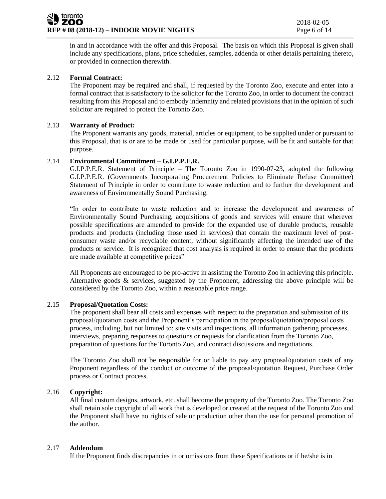in and in accordance with the offer and this Proposal. The basis on which this Proposal is given shall include any specifications, plans, price schedules, samples, addenda or other details pertaining thereto, or provided in connection therewith.

## 2.12 **Formal Contract:**

The Proponent may be required and shall, if requested by the Toronto Zoo, execute and enter into a formal contract that is satisfactory to the solicitor for the Toronto Zoo, in order to document the contract resulting from this Proposal and to embody indemnity and related provisions that in the opinion of such solicitor are required to protect the Toronto Zoo.

#### 2.13 **Warranty of Product:**

The Proponent warrants any goods, material, articles or equipment, to be supplied under or pursuant to this Proposal, that is or are to be made or used for particular purpose, will be fit and suitable for that purpose.

#### 2.14 **Environmental Commitment – G.I.P.P.E.R.**

G.I.P.P.E.R. Statement of Principle – The Toronto Zoo in 1990-07-23, adopted the following G.I.P.P.E.R. (Governments Incorporating Procurement Policies to Eliminate Refuse Committee) Statement of Principle in order to contribute to waste reduction and to further the development and awareness of Environmentally Sound Purchasing.

"In order to contribute to waste reduction and to increase the development and awareness of Environmentally Sound Purchasing, acquisitions of goods and services will ensure that wherever possible specifications are amended to provide for the expanded use of durable products, reusable products and products (including those used in services) that contain the maximum level of postconsumer waste and/or recyclable content, without significantly affecting the intended use of the products or service. It is recognized that cost analysis is required in order to ensure that the products are made available at competitive prices"

All Proponents are encouraged to be pro-active in assisting the Toronto Zoo in achieving this principle. Alternative goods & services, suggested by the Proponent, addressing the above principle will be considered by the Toronto Zoo, within a reasonable price range.

#### 2.15 **Proposal/Quotation Costs:**

The proponent shall bear all costs and expenses with respect to the preparation and submission of its proposal/quotation costs and the Proponent's participation in the proposal/quotation/proposal costs process, including, but not limited to: site visits and inspections, all information gathering processes, interviews, preparing responses to questions or requests for clarification from the Toronto Zoo, preparation of questions for the Toronto Zoo, and contract discussions and negotiations.

The Toronto Zoo shall not be responsible for or liable to pay any proposal/quotation costs of any Proponent regardless of the conduct or outcome of the proposal/quotation Request, Purchase Order process or Contract process.

## 2.16 **Copyright:**

All final custom designs, artwork, etc. shall become the property of the Toronto Zoo. The Toronto Zoo shall retain sole copyright of all work that is developed or created at the request of the Toronto Zoo and the Proponent shall have no rights of sale or production other than the use for personal promotion of the author.

## 2.17 **Addendum**

If the Proponent finds discrepancies in or omissions from these Specifications or if he/she is in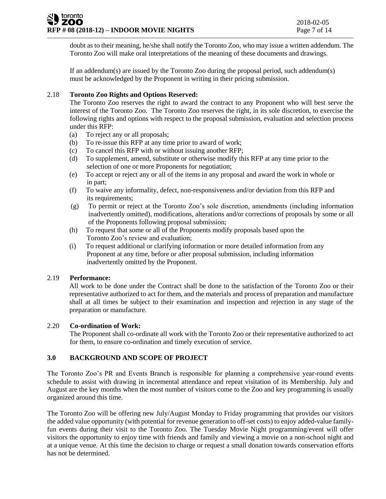doubt as to their meaning, he/she shall notify the Toronto Zoo, who may issue a written addendum. The Toronto Zoo will make oral interpretations of the meaning of these documents and drawings.

If an addendum(s) are issued by the Toronto Zoo during the proposal period, such addendum(s) must be acknowledged by the Proponent in writing in their pricing submission.

## 2.18 **Toronto Zoo Rights and Options Reserved:**

The Toronto Zoo reserves the right to award the contract to any Proponent who will best serve the interest of the Toronto Zoo. The Toronto Zoo reserves the right, in its sole discretion, to exercise the following rights and options with respect to the proposal submission, evaluation and selection process under this RFP:

- (a) To reject any or all proposals;
- (b) To re-issue this RFP at any time prior to award of work;
- (c) To cancel this RFP with or without issuing another RFP;
- (d) To supplement, amend, substitute or otherwise modify this RFP at any time prior to the selection of one or more Proponents for negotiation;
- (e) To accept or reject any or all of the items in any proposal and award the work in whole or in part;
- (f) To waive any informality, defect, non-responsiveness and/or deviation from this RFP and its requirements;
- (g) To permit or reject at the Toronto Zoo's sole discretion, amendments (including information inadvertently omitted), modifications, alterations and/or corrections of proposals by some or all of the Proponents following proposal submission;
- (h) To request that some or all of the Proponents modify proposals based upon the Toronto Zoo's review and evaluation;
- (i) To request additional or clarifying information or more detailed information from any Proponent at any time, before or after proposal submission, including information inadvertently omitted by the Proponent.

## 2.19 **Performance:**

All work to be done under the Contract shall be done to the satisfaction of the Toronto Zoo or their representative authorized to act for them, and the materials and process of preparation and manufacture shall at all times be subject to their examination and inspection and rejection in any stage of the preparation or manufacture.

## 2.20 **Co-ordination of Work:**

The Proponent shall co-ordinate all work with the Toronto Zoo or their representative authorized to act for them, to ensure co-ordination and timely execution of service.

## **3.0 BACKGROUND AND SCOPE OF PROJECT**

The Toronto Zoo's PR and Events Branch is responsible for planning a comprehensive year-round events schedule to assist with drawing in incremental attendance and repeat visitation of its Membership. July and August are the key months when the most number of visitors come to the Zoo and key programming is usually organized around this time.

The Toronto Zoo will be offering new July/August Monday to Friday programming that provides our visitors the added value opportunity (with potential for revenue generation to off-set costs) to enjoy added-value familyfun events during their visit to the Toronto Zoo. The Tuesday Movie Night programming/event will offer visitors the opportunity to enjoy time with friends and family and viewing a movie on a non-school night and at a unique venue. At this time the decision to charge or request a small donation towards conservation efforts has not be determined.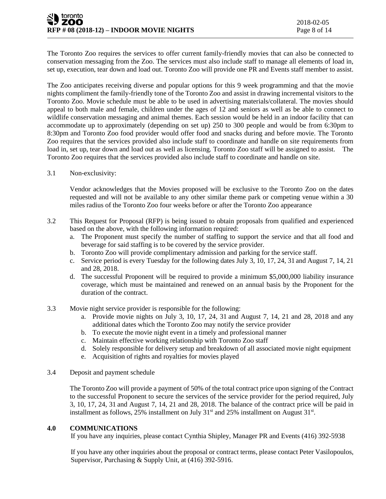The Toronto Zoo requires the services to offer current family-friendly movies that can also be connected to conservation messaging from the Zoo. The services must also include staff to manage all elements of load in, set up, execution, tear down and load out. Toronto Zoo will provide one PR and Events staff member to assist.

The Zoo anticipates receiving diverse and popular options for this 9 week programming and that the movie nights compliment the family-friendly tone of the Toronto Zoo and assist in drawing incremental visitors to the Toronto Zoo. Movie schedule must be able to be used in advertising materials/collateral. The movies should appeal to both male and female, children under the ages of 12 and seniors as well as be able to connect to wildlife conservation messaging and animal themes. Each session would be held in an indoor facility that can accommodate up to approximately (depending on set up) 250 to 300 people and would be from 6:30pm to 8:30pm and Toronto Zoo food provider would offer food and snacks during and before movie. The Toronto Zoo requires that the services provided also include staff to coordinate and handle on site requirements from load in, set up, tear down and load out as well as licensing. Toronto Zoo staff will be assigned to assist. The Toronto Zoo requires that the services provided also include staff to coordinate and handle on site.

3.1 Non-exclusivity:

Vendor acknowledges that the Movies proposed will be exclusive to the Toronto Zoo on the dates requested and will not be available to any other similar theme park or competing venue within a 30 miles radius of the Toronto Zoo four weeks before or after the Toronto Zoo appearance

- 3.2 This Request for Proposal (RFP) is being issued to obtain proposals from qualified and experienced based on the above, with the following information required:
	- a. The Proponent must specify the number of staffing to support the service and that all food and beverage for said staffing is to be covered by the service provider.
	- b. Toronto Zoo will provide complimentary admission and parking for the service staff.
	- c. Service period is every Tuesday for the following dates July 3, 10, 17, 24, 31 and August 7, 14, 21 and 28, 2018.
	- d. The successful Proponent will be required to provide a minimum \$5,000,000 liability insurance coverage, which must be maintained and renewed on an annual basis by the Proponent for the duration of the contract.
- 3.3 Movie night service provider is responsible for the following:
	- a. Provide movie nights on July 3, 10, 17, 24, 31 and August 7, 14, 21 and 28, 2018 and any additional dates which the Toronto Zoo may notify the service provider
	- b. To execute the movie night event in a timely and professional manner
	- c. Maintain effective working relationship with Toronto Zoo staff
	- d. Solely responsible for delivery setup and breakdown of all associated movie night equipment
	- e. Acquisition of rights and royalties for movies played
- 3.4 Deposit and payment schedule

The Toronto Zoo will provide a payment of 50% of the total contract price upon signing of the Contract to the successful Proponent to secure the services of the service provider for the period required, July 3, 10, 17, 24, 31 and August 7, 14, 21 and 28, 2018. The balance of the contract price will be paid in installment as follows, 25% installment on July  $31<sup>st</sup>$  and 25% installment on August  $31<sup>st</sup>$ .

## **4.0 COMMUNICATIONS**

If you have any inquiries, please contact Cynthia Shipley, Manager PR and Events (416) 392-5938

If you have any other inquiries about the proposal or contract terms, please contact Peter Vasilopoulos, Supervisor, Purchasing & Supply Unit, at (416) 392-5916.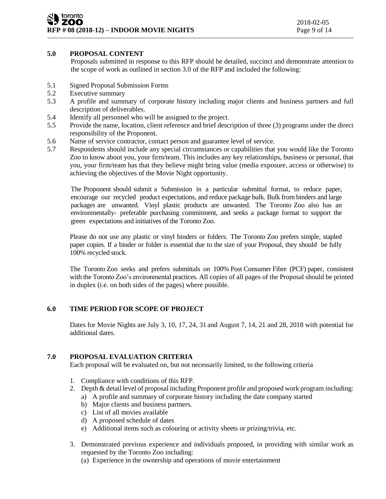## **5.0 PROPOSAL CONTENT**

Proposals submitted in response to this RFP should be detailed, succinct and demonstrate attention to the scope of work as outlined in section 3.0 of the RFP and included the following:

- 5.1 Signed Proposal Submission Forms
- 5.2 Executive summary
- 5.3 A profile and summary of corporate history including major clients and business partners and full description of deliverables.
- 5.4 Identify all personnel who will be assigned to the project.
- 5.5 Provide the name, location, client reference and brief description of three (3) programs under the direct responsibility of the Proponent.
- 5.6 Name of service contractor, contact person and guarantee level of service.
- 5.7 Respondents should include any special circumstances or capabilities that you would like the Toronto Zoo to know about you, your firm/team. This includes any key relationships, business or personal, that you, your firm/team has that they believe might bring value (media exposure, access or otherwise) to achieving the objectives of the Movie Night opportunity.

The Proponent should submit a Submission in a particular submittal format, to reduce paper, encourage our recycled product expectations, and reduce package bulk. Bulk from binders and large packages are unwanted. Vinyl plastic products are unwanted. The Toronto Zoo also has an environmentally- preferable purchasing commitment, and seeks a package format to support the green expectations and initiatives of the Toronto Zoo.

Please do not use any plastic or vinyl binders or folders. The Toronto Zoo prefers simple, stapled paper copies. If a binder or folder is essential due to the size of your Proposal, they should be fully 100% recycled stock.

The Toronto Zoo seeks and prefers submittals on 100% Post Consumer Fibre (PCF) paper, consistent with the Toronto Zoo's environmental practices. All copies of all pages of the Proposal should be printed in duplex (i.e. on both sides of the pages) where possible.

## **6.0 TIME PERIOD FOR SCOPE OF PROJECT**

Dates for Movie Nights are July 3, 10, 17, 24, 31 and August 7, 14, 21 and 28, 2018 with potential for additional dates.

## **7.0 PROPOSAL EVALUATION CRITERIA**

Each proposal will be evaluated on, but not necessarily limited, to the following criteria

- 1. Compliance with conditions of this RFP.
- 2. Depth & detail level of proposal including Proponent profile and proposed work program including:
	- a) A profile and summary of corporate history including the date company started
	- b) Major clients and business partners.
	- c) List of all movies available
	- d) A proposed schedule of dates
	- e) Additional items such as colouring or activity sheets or prizing/trivia, etc.
- 3. Demonstrated previous experience and individuals proposed, in providing with similar work as requested by the Toronto Zoo including:
	- (a) Experience in the ownership and operations of movie entertainment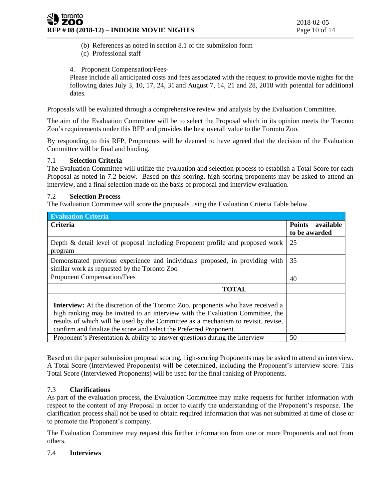(b) References as noted in section 8.1 of the submission form

- (c) Professional staff
- 4. Proponent Compensation/Fees-

Please include all anticipated costs and fees associated with the request to provide movie nights for the following dates July 3, 10, 17, 24, 31 and August 7, 14, 21 and 28, 2018 with potential for additional dates.

Proposals will be evaluated through a comprehensive review and analysis by the Evaluation Committee.

The aim of the Evaluation Committee will be to select the Proposal which in its opinion meets the Toronto Zoo's requirements under this RFP and provides the best overall value to the Toronto Zoo.

By responding to this RFP, Proponents will be deemed to have agreed that the decision of the Evaluation Committee will be final and binding.

## 7.1 **Selection Criteria**

The Evaluation Committee will utilize the evaluation and selection process to establish a Total Score for each Proposal as noted in 7.2 below. Based on this scoring, high-scoring proponents may be asked to attend an interview, and a final selection made on the basis of proposal and interview evaluation.

## 7.2 **Selection Process**

The Evaluation Committee will score the proposals using the Evaluation Criteria Table below.

| <b>Evaluation Criteria</b>                                                                                                                                                                                                                                                                                                          |                     |
|-------------------------------------------------------------------------------------------------------------------------------------------------------------------------------------------------------------------------------------------------------------------------------------------------------------------------------------|---------------------|
| <b>Criteria</b>                                                                                                                                                                                                                                                                                                                     | Points<br>available |
|                                                                                                                                                                                                                                                                                                                                     | to be awarded       |
| Depth & detail level of proposal including Proponent profile and proposed work<br>program                                                                                                                                                                                                                                           | 25                  |
| Demonstrated previous experience and individuals proposed, in providing with<br>similar work as requested by the Toronto Zoo                                                                                                                                                                                                        | 35                  |
| Proponent Compensation/Fees                                                                                                                                                                                                                                                                                                         | 40                  |
| <b>TOTAL</b>                                                                                                                                                                                                                                                                                                                        |                     |
| <b>Interview:</b> At the discretion of the Toronto Zoo, proponents who have received a<br>high ranking may be invited to an interview with the Evaluation Committee, the<br>results of which will be used by the Committee as a mechanism to revisit, revise,<br>confirm and finalize the score and select the Preferred Proponent. |                     |
| Proponent's Presentation $\&$ ability to answer questions during the Interview                                                                                                                                                                                                                                                      | 50                  |

Based on the paper submission proposal scoring, high-scoring Proponents may be asked to attend an interview. A Total Score (Interviewed Proponents) will be determined, including the Proponent's interview score. This Total Score (Interviewed Proponents) will be used for the final ranking of Proponents.

# 7.3 **Clarifications**

As part of the evaluation process, the Evaluation Committee may make requests for further information with respect to the content of any Proposal in order to clarify the understanding of the Proponent's response. The clarification process shall not be used to obtain required information that was not submitted at time of close or to promote the Proponent's company.

The Evaluation Committee may request this further information from one or more Proponents and not from others.

## 7.4 **Interviews**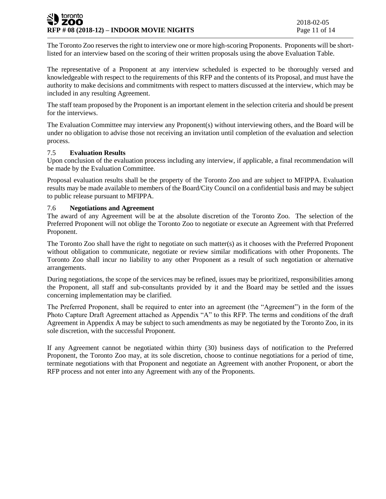### toronto **ZOO RFP # 08 (2018-12) – INDOOR MOVIE NIGHTS** Page 11 of 14

The Toronto Zoo reserves the right to interview one or more high-scoring Proponents. Proponents will be shortlisted for an interview based on the scoring of their written proposals using the above Evaluation Table.

The representative of a Proponent at any interview scheduled is expected to be thoroughly versed and knowledgeable with respect to the requirements of this RFP and the contents of its Proposal, and must have the authority to make decisions and commitments with respect to matters discussed at the interview, which may be included in any resulting Agreement.

The staff team proposed by the Proponent is an important element in the selection criteria and should be present for the interviews.

The Evaluation Committee may interview any Proponent(s) without interviewing others, and the Board will be under no obligation to advise those not receiving an invitation until completion of the evaluation and selection process.

## 7.5 **Evaluation Results**

Upon conclusion of the evaluation process including any interview, if applicable, a final recommendation will be made by the Evaluation Committee.

Proposal evaluation results shall be the property of the Toronto Zoo and are subject to MFIPPA. Evaluation results may be made available to members of the Board/City Council on a confidential basis and may be subject to public release pursuant to MFIPPA.

## 7.6 **Negotiations and Agreement**

The award of any Agreement will be at the absolute discretion of the Toronto Zoo. The selection of the Preferred Proponent will not oblige the Toronto Zoo to negotiate or execute an Agreement with that Preferred Proponent.

The Toronto Zoo shall have the right to negotiate on such matter(s) as it chooses with the Preferred Proponent without obligation to communicate, negotiate or review similar modifications with other Proponents. The Toronto Zoo shall incur no liability to any other Proponent as a result of such negotiation or alternative arrangements.

During negotiations, the scope of the services may be refined, issues may be prioritized, responsibilities among the Proponent, all staff and sub-consultants provided by it and the Board may be settled and the issues concerning implementation may be clarified.

The Preferred Proponent, shall be required to enter into an agreement (the "Agreement") in the form of the Photo Capture Draft Agreement attached as Appendix "A" to this RFP. The terms and conditions of the draft Agreement in Appendix A may be subject to such amendments as may be negotiated by the Toronto Zoo, in its sole discretion, with the successful Proponent.

If any Agreement cannot be negotiated within thirty (30) business days of notification to the Preferred Proponent, the Toronto Zoo may, at its sole discretion, choose to continue negotiations for a period of time, terminate negotiations with that Proponent and negotiate an Agreement with another Proponent, or abort the RFP process and not enter into any Agreement with any of the Proponents.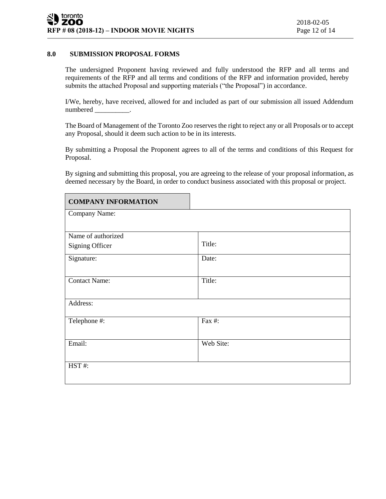#### **8.0 SUBMISSION PROPOSAL FORMS**

The undersigned Proponent having reviewed and fully understood the RFP and all terms and requirements of the RFP and all terms and conditions of the RFP and information provided, hereby submits the attached Proposal and supporting materials ("the Proposal") in accordance.

I/We, hereby, have received, allowed for and included as part of our submission all issued Addendum numbered \_\_\_\_\_\_\_\_\_\_.

The Board of Management of the Toronto Zoo reserves the right to reject any or all Proposals or to accept any Proposal, should it deem such action to be in its interests.

By submitting a Proposal the Proponent agrees to all of the terms and conditions of this Request for Proposal.

By signing and submitting this proposal, you are agreeing to the release of your proposal information, as deemed necessary by the Board, in order to conduct business associated with this proposal or project.

| <b>COMPANY INFORMATION</b> |           |  |
|----------------------------|-----------|--|
| Company Name:              |           |  |
|                            |           |  |
| Name of authorized         |           |  |
| <b>Signing Officer</b>     | Title:    |  |
| Signature:                 | Date:     |  |
|                            |           |  |
| <b>Contact Name:</b>       | Title:    |  |
|                            |           |  |
| Address:                   |           |  |
|                            |           |  |
| Telephone #:               | Fax #:    |  |
| Email:                     |           |  |
|                            | Web Site: |  |
|                            |           |  |
| HST#:                      |           |  |
|                            |           |  |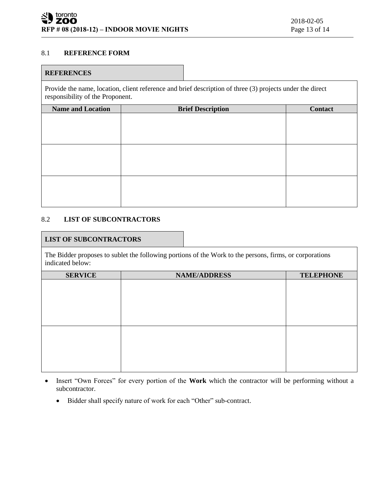### 8.1 **REFERENCE FORM**

#### **REFERENCES**

Provide the name, location, client reference and brief description of three (3) projects under the direct responsibility of the Proponent.

| <b>Name and Location</b> | <b>Brief Description</b> | Contact |
|--------------------------|--------------------------|---------|
|                          |                          |         |
|                          |                          |         |
|                          |                          |         |
|                          |                          |         |
|                          |                          |         |
|                          |                          |         |
|                          |                          |         |
|                          |                          |         |
|                          |                          |         |

## 8.2 **LIST OF SUBCONTRACTORS**

#### **LIST OF SUBCONTRACTORS**

The Bidder proposes to sublet the following portions of the Work to the persons, firms, or corporations indicated below:

| <b>SERVICE</b> | <b>NAME/ADDRESS</b> | <b>TELEPHONE</b> |  |  |
|----------------|---------------------|------------------|--|--|
|                |                     |                  |  |  |
|                |                     |                  |  |  |
|                |                     |                  |  |  |
|                |                     |                  |  |  |
|                |                     |                  |  |  |
|                |                     |                  |  |  |
|                |                     |                  |  |  |
|                |                     |                  |  |  |
|                |                     |                  |  |  |
|                |                     |                  |  |  |
|                |                     |                  |  |  |
|                |                     |                  |  |  |

- Insert "Own Forces" for every portion of the **Work** which the contractor will be performing without a subcontractor.
	- Bidder shall specify nature of work for each "Other" sub-contract.